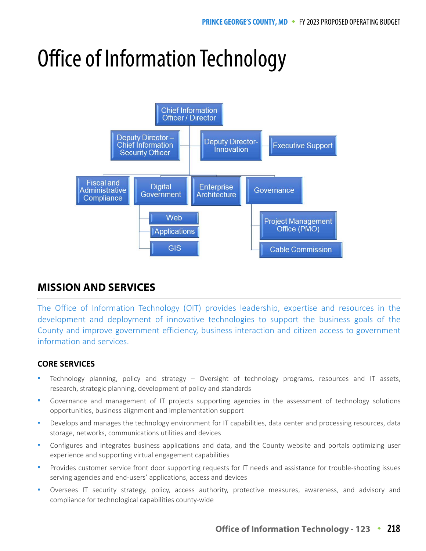# Office of Information Technology



# **MISSION AND SERVICES**

The Office of Information Technology (OIT) provides leadership, expertise and resources in the development and deployment of innovative technologies to support the business goals of the County and improve government efficiency, business interaction and citizen access to government information and services.

## **CORE SERVICES**

- Technology planning, policy and strategy Oversight of technology programs, resources and IT assets, research, strategic planning, development of policy and standards
- Governance and management of IT projects supporting agencies in the assessment of technology solutions opportunities, business alignment and implementation support
- Develops and manages the technology environment for IT capabilities, data center and processing resources, data storage, networks, communications utilities and devices
- Configures and integrates business applications and data, and the County website and portals optimizing user experience and supporting virtual engagement capabilities
- Provides customer service front door supporting requests for IT needs and assistance for trouble-shooting issues serving agencies and end-users' applications, access and devices
- Oversees IT security strategy, policy, access authority, protective measures, awareness, and advisory and compliance for technological capabilities county-wide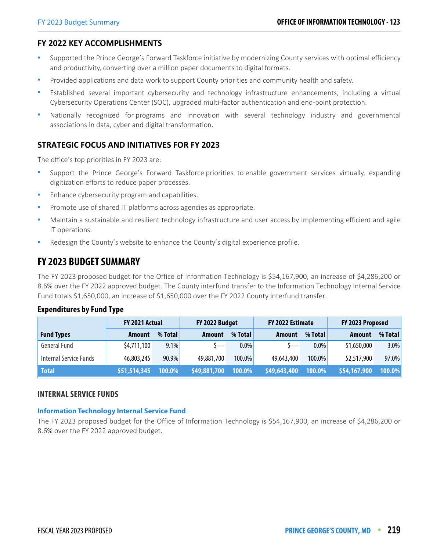## **FY 2022 KEY ACCOMPLISHMENTS**

- Supported the Prince George's Forward Taskforce initiative by modernizing County services with optimal efficiency and productivity, converting over a million paper documents to digital formats.
- Provided applications and data work to support County priorities and community health and safety.
- Established several important cybersecurity and technology infrastructure enhancements, including a virtual Cybersecurity Operations Center (SOC), upgraded multi-factor authentication and end-point protection.
- Nationally recognized for programs and innovation with several technology industry and governmental associations in data, cyber and digital transformation.

## **STRATEGIC FOCUS AND INITIATIVES FOR FY 2023**

The office's top priorities in FY 2023 are:

- Support the Prince George's Forward Taskforce priorities to enable government services virtually, expanding digitization efforts to reduce paper processes.
- Enhance cybersecurity program and capabilities.
- Promote use of shared IT platforms across agencies as appropriate.
- Maintain a sustainable and resilient technology infrastructure and user access by Implementing efficient and agile IT operations.
- Redesign the County's website to enhance the County's digital experience profile.

# **FY 2023 BUDGET SUMMARY**

The FY 2023 proposed budget for the Office of Information Technology is \$54,167,900, an increase of \$4,286,200 or 8.6% over the FY 2022 approved budget. The County interfund transfer to the Information Technology Internal Service Fund totals \$1,650,000, an increase of \$1,650,000 over the FY 2022 County interfund transfer.

#### **Expenditures by Fund Type**

|                               | FY 2021 Actual |         | FY 2022 Budget        |           | FY 2022 Estimate |         | FY 2023 Proposed |         |
|-------------------------------|----------------|---------|-----------------------|-----------|------------------|---------|------------------|---------|
| <b>Fund Types</b>             | Amount         | % Total | Amount                | % Total   | Amount           | % Total | Amount           | % Total |
| <b>General Fund</b>           | \$4,711,100    | $9.1\%$ | $S_{\longrightarrow}$ | $0.0\%$   | $S-$             | $0.0\%$ | \$1,650,000      | 3.0%    |
| <b>Internal Service Funds</b> | 46,803,245     | 90.9%   | 49,881,700            | $100.0\%$ | 49,643,400       | 100.0%  | 52,517,900       | 97.0%   |
| <b>Total</b>                  | \$51,514,345   | 100.0%  | \$49,881,700          | 100.0%    | \$49,643,400     | 100.0%  | \$54,167,900     | 100.0%  |

#### **INTERNAL SERVICE FUNDS**

#### **Information Technology Internal Service Fund**

The FY 2023 proposed budget for the Office of Information Technology is \$54,167,900, an increase of \$4,286,200 or 8.6% over the FY 2022 approved budget.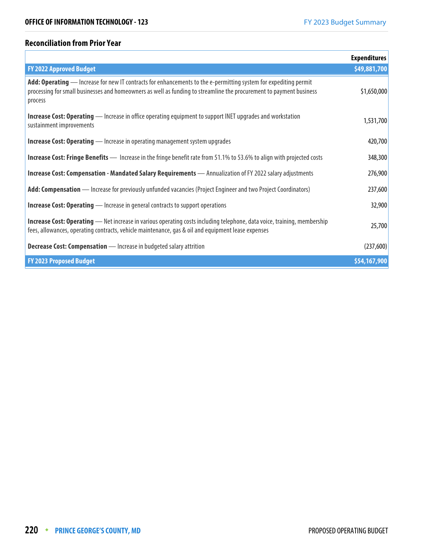## **Reconciliation from Prior Year**

|                                                                                                                                                                                                                                                    | <b>Expenditures</b> |
|----------------------------------------------------------------------------------------------------------------------------------------------------------------------------------------------------------------------------------------------------|---------------------|
| <b>FY 2022 Approved Budget</b>                                                                                                                                                                                                                     | \$49,881,700        |
| Add: Operating — Increase for new IT contracts for enhancements to the e-permitting system for expediting permit<br>processing for small businesses and homeowners as well as funding to streamline the procurement to payment business<br>process | \$1,650,000         |
| <b>Increase Cost: Operating</b> — Increase in office operating equipment to support INET upgrades and workstation<br>sustainment improvements                                                                                                      | 1,531,700           |
| <b>Increase Cost: Operating</b> — Increase in operating management system upgrades                                                                                                                                                                 | 420,700             |
| <b>Increase Cost: Fringe Benefits</b> — Increase in the fringe benefit rate from 51.1% to 53.6% to align with projected costs                                                                                                                      | 348,300             |
| <b>Increase Cost: Compensation - Mandated Salary Requirements</b> — Annualization of FY 2022 salary adjustments                                                                                                                                    | 276,900             |
| Add: Compensation — Increase for previously unfunded vacancies (Project Engineer and two Project Coordinators)                                                                                                                                     | 237,600             |
| <b>Increase Cost: Operating</b> — Increase in general contracts to support operations                                                                                                                                                              | 32,900              |
| <b>Increase Cost: Operating</b> — Net increase in various operating costs including telephone, data voice, training, membership<br>fees, allowances, operating contracts, vehicle maintenance, gas & oil and equipment lease expenses              | 25,700              |
| <b>Decrease Cost: Compensation</b> - Increase in budgeted salary attrition                                                                                                                                                                         | (237,600)           |
| <b>FY 2023 Proposed Budget</b>                                                                                                                                                                                                                     | \$54,167,900        |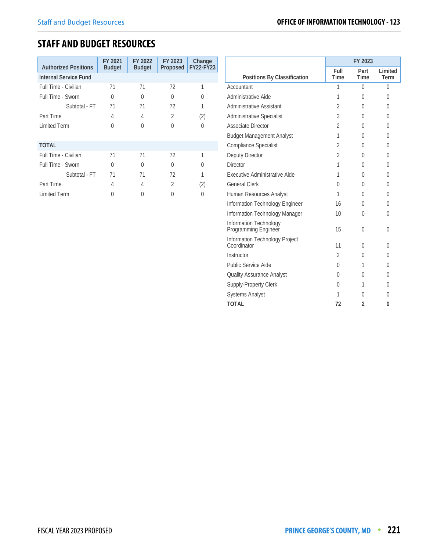# **STAFF AND BUDGET RESOURCES**

| <b>Authorized Positions</b> | FY 2021<br><b>Budget</b> | FY 2022<br><b>Budget</b> | FY 2023<br>Proposed | Change<br><b>FY22-FY23</b> |
|-----------------------------|--------------------------|--------------------------|---------------------|----------------------------|
| Internal Service Fund       |                          |                          |                     |                            |
| Full Time - Civilian        | 71                       | 71                       | 72                  |                            |
| Full Time - Sworn           | U                        | 0                        | 0                   | $\left( \right)$           |
| Subtotal - FT               | 71                       | 71                       | 72                  |                            |
| Part Time                   | 4                        | 4                        | 2                   | (2)                        |
| <b>Limited Term</b>         | U                        | U                        | U                   | 0                          |
| <b>TOTAL</b>                |                          |                          |                     |                            |
| Full Time - Civilian        | 71                       | 71                       | 72                  |                            |
| Full Time - Sworn           | U                        | 0                        | U                   | 0                          |
| Subtotal - FT               | 71                       | 71                       | 72                  |                            |
| Part Time                   | 4                        | 4                        | 2                   | (2)                        |
| Limited Term                |                          |                          |                     | $\left( \right)$           |

|                                                | FY 2023             |                |                 |  |  |
|------------------------------------------------|---------------------|----------------|-----------------|--|--|
| Positions By Classification                    | Full<br><b>Time</b> | Part<br>Time   | Limited<br>Term |  |  |
| Accountant                                     | 1                   | $\Omega$       | $\theta$        |  |  |
| Administrative Aide                            | 1                   | 0              | 0               |  |  |
| Administrative Assistant                       | $\overline{2}$      | 0              | 0               |  |  |
| Administrative Specialist                      | 3                   | 0              | $\Omega$        |  |  |
| Associate Director                             | $\mathfrak{D}$      | 0              | 0               |  |  |
| <b>Budget Management Analyst</b>               | 1                   | 0              | $\Omega$        |  |  |
| <b>Compliance Specialist</b>                   | $\mathfrak{D}$      | 0              | 0               |  |  |
| Deputy Director                                | $\mathfrak{D}$      | $\Omega$       | $\Omega$        |  |  |
| Director                                       | 1                   | U              | 0               |  |  |
| Executive Administrative Aide                  | 1                   | 0              | 0               |  |  |
| <b>General Clerk</b>                           | U                   | 0              | 0               |  |  |
| Human Resources Analyst                        | 1                   | 0              | 0               |  |  |
| Information Technology Engineer                | 16                  | 0              | 0               |  |  |
| Information Technology Manager                 | 10                  | 0              | 0               |  |  |
| Information Technology<br>Programming Engineer | 15                  | 0              | 0               |  |  |
| Information Technology Project<br>Coordinator  | 11                  | 0              | $\Omega$        |  |  |
| Instructor                                     | $\mathfrak{D}$      | 0              | 0               |  |  |
| Public Service Aide                            | 0                   | 1              | $\Omega$        |  |  |
| <b>Quality Assurance Analyst</b>               | 0                   | 0              | 0               |  |  |
| Supply-Property Clerk                          | $\Omega$            | 1              | $\Omega$        |  |  |
| <b>Systems Analyst</b>                         | 1                   | U              | 0               |  |  |
| <b>TOTAL</b>                                   | 72                  | $\overline{2}$ | 0               |  |  |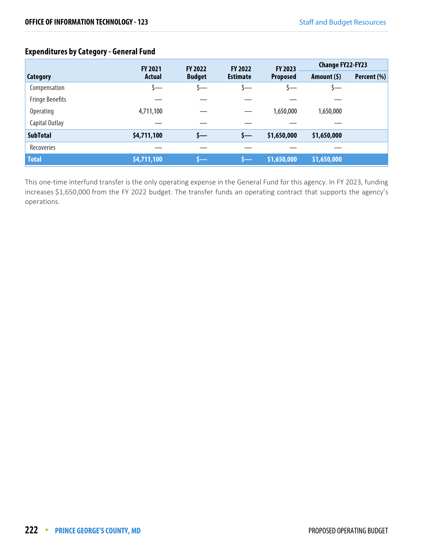# **Expenditures by Category - General Fund**

|                        | FY 2023<br><b>FY 2021</b><br><b>FY 2022</b><br><b>FY 2022</b> |               |                 |                 | <b>Change FY22-FY23</b> |             |
|------------------------|---------------------------------------------------------------|---------------|-----------------|-----------------|-------------------------|-------------|
| <b>Category</b>        | <b>Actual</b>                                                 | <b>Budget</b> | <b>Estimate</b> | <b>Proposed</b> | Amount $(5)$            | Percent (%) |
| Compensation           | s—                                                            | <u>ა—</u>     |                 |                 | s—                      |             |
| <b>Fringe Benefits</b> |                                                               |               |                 |                 |                         |             |
| Operating              | 4,711,100                                                     |               |                 | 1,650,000       | 1,650,000               |             |
| Capital Outlay         |                                                               |               |                 |                 |                         |             |
| <b>SubTotal</b>        | \$4,711,100                                                   | s—            | s—              | \$1,650,000     | \$1,650,000             |             |
| Recoveries             |                                                               |               |                 |                 |                         |             |
| <b>Total</b>           | \$4,711,100                                                   | s—            | s –             | \$1,650,000     | \$1,650,000             |             |

This one-time interfund transfer is the only operating expense in the General Fund for this agency. In FY 2023, funding increases \$1,650,000 from the FY 2022 budget. The transfer funds an operating contract that supports the agency's operations.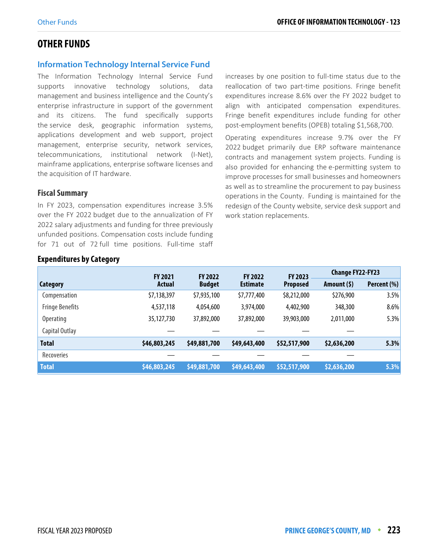# **OTHER FUNDS**

#### **Information Technology Internal Service Fund**

The Information Technology Internal Service Fund supports innovative technology solutions, data management and business intelligence and the County's enterprise infrastructure in support of the government and its citizens. The fund specifically supports the service desk, geographic information systems, applications development and web support, project management, enterprise security, network services, telecommunications, institutional network (I-Net), mainframe applications, enterprise software licenses and the acquisition of IT hardware.

#### **Fiscal Summary**

In FY 2023, compensation expenditures increase 3.5% over the FY 2022 budget due to the annualization of FY 2022 salary adjustments and funding for three previously unfunded positions. Compensation costs include funding for 71 out of 72 full time positions. Full-time staff

increases by one position to full-time status due to the reallocation of two part-time positions. Fringe benefit expenditures increase 8.6% over the FY 2022 budget to align with anticipated compensation expenditures. Fringe benefit expenditures include funding for other post-employment benefits (OPEB) totaling \$1,568,700.

Operating expenditures increase 9.7% over the FY 2022 budget primarily due ERP software maintenance contracts and management system projects. Funding is also provided for enhancing the e-permitting system to improve processes for small businesses and homeowners as well as to streamline the procurement to pay business operations in the County. Funding is maintained for the redesign of the County website, service desk support and work station replacements.

|                        | <b>FY 2021</b> | <b>FY 2022</b> | <b>FY 2022</b>  | FY 2023         | <b>Change FY22-FY23</b> |             |
|------------------------|----------------|----------------|-----------------|-----------------|-------------------------|-------------|
| Category               | Actual         | <b>Budget</b>  | <b>Estimate</b> | <b>Proposed</b> | Amount (\$)             | Percent (%) |
| Compensation           | \$7,138,397    | \$7,935,100    | \$7,777,400     | \$8,212,000     | \$276,900               | 3.5%        |
| <b>Fringe Benefits</b> | 4,537,118      | 4,054,600      | 3,974,000       | 4,402,900       | 348,300                 | 8.6%        |
| <b>Operating</b>       | 35,127,730     | 37,892,000     | 37,892,000      | 39,903,000      | 2,011,000               | 5.3%        |
| Capital Outlay         |                |                |                 |                 |                         |             |
| <b>Total</b>           | \$46,803,245   | \$49,881,700   | \$49,643,400    | \$52,517,900    | \$2,636,200             | 5.3%        |
| Recoveries             |                |                |                 |                 |                         |             |
| <b>Total</b>           | \$46,803,245   | \$49,881,700   | \$49,643,400    | \$52,517,900    | \$2,636,200             | 5.3%        |

#### **Expenditures by Category**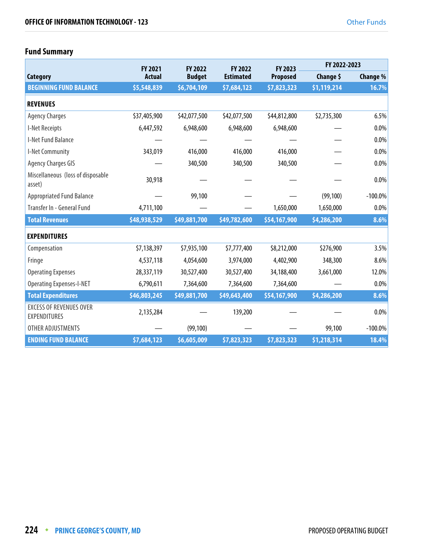# **Fund Summary**

|                                                       | <b>FY 2021</b> | FY 2022       | FY 2022          | FY 2023      | FY 2022-2023 |            |  |
|-------------------------------------------------------|----------------|---------------|------------------|--------------|--------------|------------|--|
| Category                                              | <b>Actual</b>  | <b>Budget</b> | <b>Estimated</b> | Proposed     | Change \$    | Change %   |  |
| <b>BEGINNING FUND BALANCE</b>                         | \$5,548,839    | \$6,704,109   | \$7,684,123      | \$7,823,323  | \$1,119,214  | 16.7%      |  |
| <b>REVENUES</b>                                       |                |               |                  |              |              |            |  |
| <b>Agency Charges</b>                                 | \$37,405,900   | \$42,077,500  | \$42,077,500     | \$44,812,800 | \$2,735,300  | 6.5%       |  |
| I-Net Receipts                                        | 6,447,592      | 6,948,600     | 6,948,600        | 6,948,600    |              | 0.0%       |  |
| I-Net Fund Balance                                    |                |               |                  |              |              | 0.0%       |  |
| I-Net Community                                       | 343,019        | 416,000       | 416,000          | 416,000      |              | 0.0%       |  |
| <b>Agency Charges GIS</b>                             |                | 340,500       | 340,500          | 340,500      |              | 0.0%       |  |
| Miscellaneous (loss of disposable<br>asset)           | 30,918         |               |                  |              |              | 0.0%       |  |
| <b>Appropriated Fund Balance</b>                      |                | 99,100        |                  |              | (99, 100)    | $-100.0\%$ |  |
| Transfer In - General Fund                            | 4,711,100      |               |                  | 1,650,000    | 1,650,000    | 0.0%       |  |
| <b>Total Revenues</b>                                 | \$48,938,529   | \$49,881,700  | \$49,782,600     | \$54,167,900 | \$4,286,200  | 8.6%       |  |
| <b>EXPENDITURES</b>                                   |                |               |                  |              |              |            |  |
| Compensation                                          | \$7,138,397    | \$7,935,100   | \$7,777,400      | \$8,212,000  | \$276,900    | 3.5%       |  |
| Fringe                                                | 4,537,118      | 4,054,600     | 3,974,000        | 4,402,900    | 348,300      | 8.6%       |  |
| <b>Operating Expenses</b>                             | 28,337,119     | 30,527,400    | 30,527,400       | 34,188,400   | 3,661,000    | 12.0%      |  |
| <b>Operating Expenses-I-NET</b>                       | 6,790,611      | 7,364,600     | 7,364,600        | 7,364,600    |              | 0.0%       |  |
| <b>Total Expenditures</b>                             | \$46,803,245   | \$49,881,700  | \$49,643,400     | \$54,167,900 | \$4,286,200  | 8.6%       |  |
| <b>EXCESS OF REVENUES OVER</b><br><b>EXPENDITURES</b> | 2,135,284      |               | 139,200          |              |              | 0.0%       |  |
| OTHER ADJUSTMENTS                                     |                | (99, 100)     |                  |              | 99,100       | $-100.0\%$ |  |
| <b>ENDING FUND BALANCE</b>                            | \$7,684,123    | \$6,605,009   | \$7,823,323      | \$7,823,323  | \$1,218,314  | 18.4%      |  |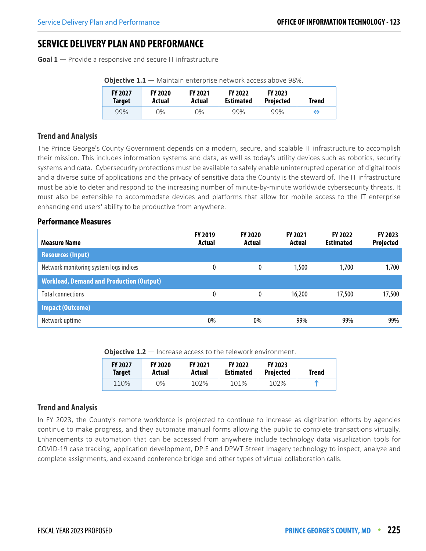# **SERVICE DELIVERY PLAN AND PERFORMANCE**

**Goal 1** — Provide a responsive and secure IT infrastructure

| <b>FY 2027</b> | <b>FY 2020</b> | <b>FY 2021</b> | <b>FY 2022</b>   | <b>FY 2023</b>   | <b>Trend</b> |
|----------------|----------------|----------------|------------------|------------------|--------------|
| <b>Target</b>  | Actual         | Actual         | <b>Estimated</b> | <b>Projected</b> |              |
| 99%            | 0%             | 0%             | 99%              | 99%              | ↔            |

**Objective 1.1** — Maintain enterprise network access above 98%.

## **Trend and Analysis**

The Prince George's County Government depends on a modern, secure, and scalable IT infrastructure to accomplish their mission. This includes information systems and data, as well as today's utility devices such as robotics, security systems and data. Cybersecurity protections must be available to safely enable uninterrupted operation of digital tools and a diverse suite of applications and the privacy of sensitive data the County is the steward of. The IT infrastructure must be able to deter and respond to the increasing number of minute-by-minute worldwide cybersecurity threats. It must also be extensible to accommodate devices and platforms that allow for mobile access to the IT enterprise enhancing end users' ability to be productive from anywhere.

#### **Performance Measures**

| <b>Measure Name</b>                             | <b>FY 2019</b><br>Actual | <b>FY 2020</b><br>Actual | <b>FY 2021</b><br>Actual | <b>FY 2022</b><br><b>Estimated</b> | FY 2023<br>Projected |
|-------------------------------------------------|--------------------------|--------------------------|--------------------------|------------------------------------|----------------------|
| <b>Resources (Input)</b>                        |                          |                          |                          |                                    |                      |
| Network monitoring system logs indices          | 0                        | 0                        | 1,500                    | 1,700                              | 1,700                |
| <b>Workload, Demand and Production (Output)</b> |                          |                          |                          |                                    |                      |
| <b>Total connections</b>                        | 0                        | 0                        | 16,200                   | 17,500                             | 17,500               |
| <b>Impact (Outcome)</b>                         |                          |                          |                          |                                    |                      |
| Network uptime                                  | 0%                       | 0%                       | 99%                      | 99%                                | 99%                  |

**Objective 1.2** – Increase access to the telework environment.

| <b>FY 2027</b> | <b>FY 2020</b> | <b>FY 2021</b> | <b>FY 2022</b>   | <b>FY 2023</b>   | Trend |
|----------------|----------------|----------------|------------------|------------------|-------|
| <b>Target</b>  | Actual         | Actual         | <b>Estimated</b> | <b>Projected</b> |       |
| 110%           | 0%             | 102%           | 101%             | 102%             |       |

## **Trend and Analysis**

In FY 2023, the County's remote workforce is projected to continue to increase as digitization efforts by agencies continue to make progress, and they automate manual forms allowing the public to complete transactions virtually. Enhancements to automation that can be accessed from anywhere include technology data visualization tools for COVID-19 case tracking, application development, DPIE and DPWT Street Imagery technology to inspect, analyze and complete assignments, and expand conference bridge and other types of virtual collaboration calls.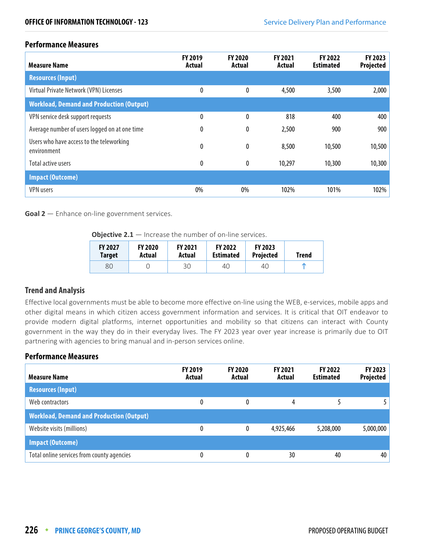#### **Performance Measures**

| <b>Measure Name</b>                                     | <b>FY 2019</b><br>Actual | <b>FY 2020</b><br>Actual | FY 2021<br>Actual | <b>FY 2022</b><br><b>Estimated</b> | <b>FY 2023</b><br>Projected |
|---------------------------------------------------------|--------------------------|--------------------------|-------------------|------------------------------------|-----------------------------|
| <b>Resources (Input)</b>                                |                          |                          |                   |                                    |                             |
| Virtual Private Network (VPN) Licenses                  | 0                        | 0                        | 4,500             | 3,500                              | 2,000                       |
| <b>Workload, Demand and Production (Output)</b>         |                          |                          |                   |                                    |                             |
| VPN service desk support requests                       | 0                        | 0                        | 818               | 400                                | 400                         |
| Average number of users logged on at one time           | 0                        | 0                        | 2,500             | 900                                | 900                         |
| Users who have access to the teleworking<br>environment | 0                        | 0                        | 8,500             | 10,500                             | 10,500                      |
| Total active users                                      | 0                        | 0                        | 10,297            | 10,300                             | 10,300                      |
| <b>Impact (Outcome)</b>                                 |                          |                          |                   |                                    |                             |
| <b>VPN</b> users                                        | 0%                       | 0%                       | 102%              | 101%                               | 102%                        |

**Goal 2** — Enhance on-line government services.

**Objective 2.1** — Increase the number of on-line services.

| <b>FY 2027</b> | <b>FY 2020</b> | <b>FY 2021</b> | <b>FY 2022</b>   | <b>FY 2023</b>   | <b>Trend</b> |
|----------------|----------------|----------------|------------------|------------------|--------------|
| <b>Target</b>  | Actual         | Actual         | <b>Estimated</b> | <b>Projected</b> |              |
| 80             |                | 30             | 40               | 40               |              |

#### **Trend and Analysis**

Effective local governments must be able to become more effective on-line using the WEB, e-services, mobile apps and other digital means in which citizen access government information and services. It is critical that OIT endeavor to provide modern digital platforms, internet opportunities and mobility so that citizens can interact with County government in the way they do in their everyday lives. The FY 2023 year over year increase is primarily due to OIT partnering with agencies to bring manual and in-person services online.

## **Performance Measures**

| <b>Measure Name</b>                             | <b>FY 2019</b><br>Actual | <b>FY 2020</b><br>Actual | <b>FY 2021</b><br>Actual | <b>FY 2022</b><br><b>Estimated</b> | FY 2023<br>Projected |
|-------------------------------------------------|--------------------------|--------------------------|--------------------------|------------------------------------|----------------------|
| <b>Resources (Input)</b>                        |                          |                          |                          |                                    |                      |
| Web contractors                                 | 0                        | 0                        | 4                        |                                    |                      |
| <b>Workload, Demand and Production (Output)</b> |                          |                          |                          |                                    |                      |
| Website visits (millions)                       | 0                        | 0                        | 4,925,466                | 5,208,000                          | 5,000,000            |
| <b>Impact (Outcome)</b>                         |                          |                          |                          |                                    |                      |
| Total online services from county agencies      | 0                        | 0                        | 30                       | 40                                 | 40                   |